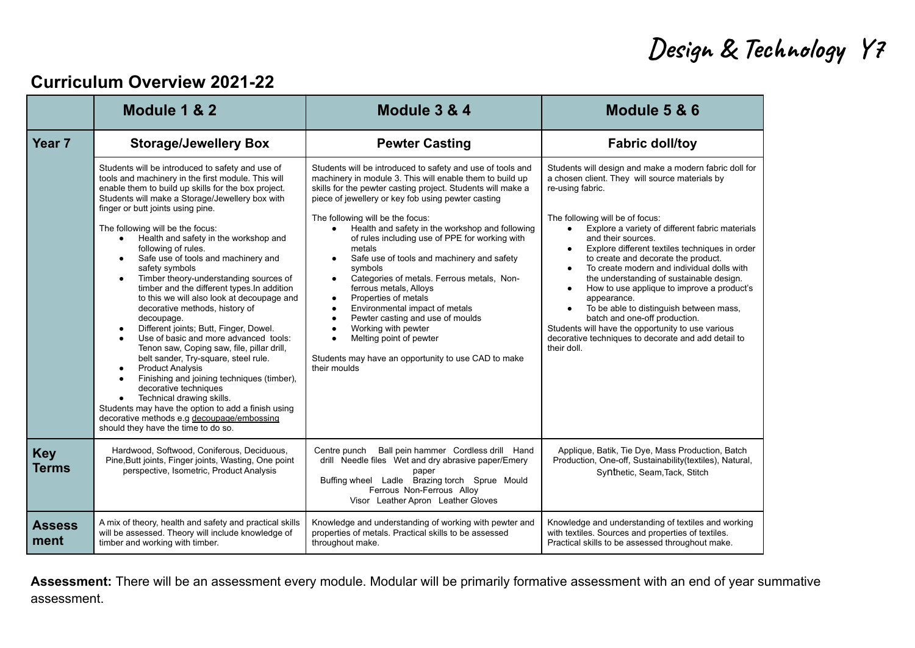## **Design & Technology Y7**

#### **Curriculum Overview 2021-22**

|                            | Module 1 & 2                                                                                                                                                                                                                                                                                                                                                                                                                                                                                                                                                                                                                                                                                                                                                                                                                                                                                                                                                                                                                                                                                                                  | Module 3 & 4                                                                                                                                                                                                                                                                                                                                                                                                                                                                                                                                                                                                                                                                                                                                                                                                                                      | Module 5 & 6                                                                                                                                                                                                                                                                                                                                                                                                                                                                                                                                                                                                                                                                                                                                        |
|----------------------------|-------------------------------------------------------------------------------------------------------------------------------------------------------------------------------------------------------------------------------------------------------------------------------------------------------------------------------------------------------------------------------------------------------------------------------------------------------------------------------------------------------------------------------------------------------------------------------------------------------------------------------------------------------------------------------------------------------------------------------------------------------------------------------------------------------------------------------------------------------------------------------------------------------------------------------------------------------------------------------------------------------------------------------------------------------------------------------------------------------------------------------|---------------------------------------------------------------------------------------------------------------------------------------------------------------------------------------------------------------------------------------------------------------------------------------------------------------------------------------------------------------------------------------------------------------------------------------------------------------------------------------------------------------------------------------------------------------------------------------------------------------------------------------------------------------------------------------------------------------------------------------------------------------------------------------------------------------------------------------------------|-----------------------------------------------------------------------------------------------------------------------------------------------------------------------------------------------------------------------------------------------------------------------------------------------------------------------------------------------------------------------------------------------------------------------------------------------------------------------------------------------------------------------------------------------------------------------------------------------------------------------------------------------------------------------------------------------------------------------------------------------------|
| Year <sub>7</sub>          | <b>Storage/Jewellery Box</b>                                                                                                                                                                                                                                                                                                                                                                                                                                                                                                                                                                                                                                                                                                                                                                                                                                                                                                                                                                                                                                                                                                  | <b>Pewter Casting</b>                                                                                                                                                                                                                                                                                                                                                                                                                                                                                                                                                                                                                                                                                                                                                                                                                             | <b>Fabric doll/toy</b>                                                                                                                                                                                                                                                                                                                                                                                                                                                                                                                                                                                                                                                                                                                              |
|                            | Students will be introduced to safety and use of<br>tools and machinery in the first module. This will<br>enable them to build up skills for the box project.<br>Students will make a Storage/Jewellery box with<br>finger or butt joints using pine.<br>The following will be the focus:<br>Health and safety in the workshop and<br>$\bullet$<br>following of rules.<br>Safe use of tools and machinery and<br>$\bullet$<br>safety symbols<br>Timber theory-understanding sources of<br>$\bullet$<br>timber and the different types. In addition<br>to this we will also look at decoupage and<br>decorative methods, history of<br>decoupage.<br>Different joints; Butt, Finger, Dowel.<br>Use of basic and more advanced tools:<br>Tenon saw, Coping saw, file, pillar drill,<br>belt sander, Try-square, steel rule.<br><b>Product Analysis</b><br>$\bullet$<br>Finishing and joining techniques (timber),<br>decorative techniques<br>Technical drawing skills.<br>$\bullet$<br>Students may have the option to add a finish using<br>decorative methods e.g decoupage/embossing<br>should they have the time to do so. | Students will be introduced to safety and use of tools and<br>machinery in module 3. This will enable them to build up<br>skills for the pewter casting project. Students will make a<br>piece of jewellery or key fob using pewter casting<br>The following will be the focus:<br>Health and safety in the workshop and following<br>$\bullet$<br>of rules including use of PPE for working with<br>metals<br>Safe use of tools and machinery and safety<br>$\bullet$<br>symbols<br>Categories of metals. Ferrous metals, Non-<br>ferrous metals, Alloys<br>Properties of metals<br>$\bullet$<br>Environmental impact of metals<br>$\bullet$<br>Pewter casting and use of moulds<br>$\bullet$<br>Working with pewter<br>$\bullet$<br>Melting point of pewter<br>$\bullet$<br>Students may have an opportunity to use CAD to make<br>their moulds | Students will design and make a modern fabric doll for<br>a chosen client. They will source materials by<br>re-using fabric.<br>The following will be of focus:<br>Explore a variety of different fabric materials<br>$\bullet$<br>and their sources.<br>Explore different textiles techniques in order<br>$\bullet$<br>to create and decorate the product.<br>To create modern and individual dolls with<br>$\bullet$<br>the understanding of sustainable design.<br>How to use applique to improve a product's<br>appearance.<br>To be able to distinguish between mass,<br>$\bullet$<br>batch and one-off production.<br>Students will have the opportunity to use various<br>decorative techniques to decorate and add detail to<br>their doll. |
| <b>Key</b><br><b>Terms</b> | Hardwood, Softwood, Coniferous, Deciduous,<br>Pine, Butt joints, Finger joints, Wasting, One point<br>perspective, Isometric, Product Analysis                                                                                                                                                                                                                                                                                                                                                                                                                                                                                                                                                                                                                                                                                                                                                                                                                                                                                                                                                                                | Ball pein hammer Cordless drill Hand<br>Centre punch<br>drill Needle files Wet and dry abrasive paper/Emery<br>paper<br>Buffing wheel Ladle Brazing torch Sprue Mould<br>Ferrous Non-Ferrous Alloy<br>Visor Leather Apron Leather Gloves                                                                                                                                                                                                                                                                                                                                                                                                                                                                                                                                                                                                          | Applique, Batik, Tie Dye, Mass Production, Batch<br>Production, One-off, Sustainability(textiles), Natural,<br>Synthetic, Seam, Tack, Stitch                                                                                                                                                                                                                                                                                                                                                                                                                                                                                                                                                                                                        |
| <b>Assess</b><br>ment      | A mix of theory, health and safety and practical skills<br>will be assessed. Theory will include knowledge of<br>timber and working with timber.                                                                                                                                                                                                                                                                                                                                                                                                                                                                                                                                                                                                                                                                                                                                                                                                                                                                                                                                                                              | Knowledge and understanding of working with pewter and<br>properties of metals. Practical skills to be assessed<br>throughout make.                                                                                                                                                                                                                                                                                                                                                                                                                                                                                                                                                                                                                                                                                                               | Knowledge and understanding of textiles and working<br>with textiles. Sources and properties of textiles.<br>Practical skills to be assessed throughout make.                                                                                                                                                                                                                                                                                                                                                                                                                                                                                                                                                                                       |

**Assessment:** There will be an assessment every module. Modular will be primarily formative assessment with an end of year summative assessment.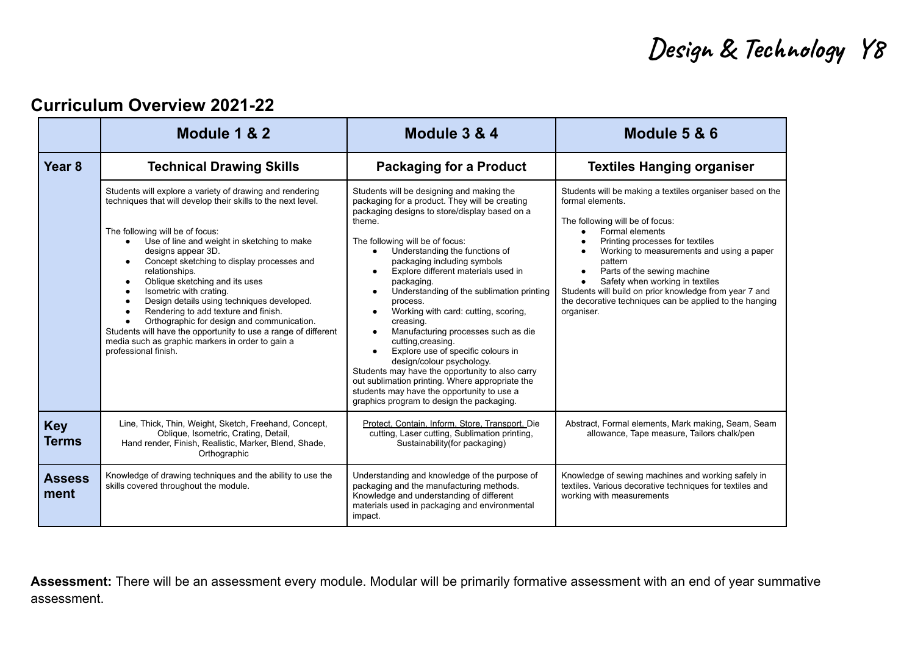### **Design & Technology Y8**

### **Curriculum Overview 2021-22**

|                            | Module 1 & 2                                                                                                                                                                                                                                                                                                                                                                                                                                                                                                                                                                                                                                                              | Module 3 & 4                                                                                                                                                                                                                                                                                                                                                                                                                                                                                                                                                                                                                                                                                                                                                                                          | Module 5 & 6                                                                                                                                                                                                                                                                                                                                                                                                                                                               |
|----------------------------|---------------------------------------------------------------------------------------------------------------------------------------------------------------------------------------------------------------------------------------------------------------------------------------------------------------------------------------------------------------------------------------------------------------------------------------------------------------------------------------------------------------------------------------------------------------------------------------------------------------------------------------------------------------------------|-------------------------------------------------------------------------------------------------------------------------------------------------------------------------------------------------------------------------------------------------------------------------------------------------------------------------------------------------------------------------------------------------------------------------------------------------------------------------------------------------------------------------------------------------------------------------------------------------------------------------------------------------------------------------------------------------------------------------------------------------------------------------------------------------------|----------------------------------------------------------------------------------------------------------------------------------------------------------------------------------------------------------------------------------------------------------------------------------------------------------------------------------------------------------------------------------------------------------------------------------------------------------------------------|
| Year <sub>8</sub>          | <b>Technical Drawing Skills</b>                                                                                                                                                                                                                                                                                                                                                                                                                                                                                                                                                                                                                                           | <b>Packaging for a Product</b>                                                                                                                                                                                                                                                                                                                                                                                                                                                                                                                                                                                                                                                                                                                                                                        | <b>Textiles Hanging organiser</b>                                                                                                                                                                                                                                                                                                                                                                                                                                          |
|                            | Students will explore a variety of drawing and rendering<br>techniques that will develop their skills to the next level.<br>The following will be of focus:<br>Use of line and weight in sketching to make<br>$\bullet$<br>designs appear 3D.<br>Concept sketching to display processes and<br>relationships.<br>Oblique sketching and its uses<br>$\bullet$<br>Isometric with crating.<br>Design details using techniques developed.<br>Rendering to add texture and finish.<br>Orthographic for design and communication.<br>Students will have the opportunity to use a range of different<br>media such as graphic markers in order to gain a<br>professional finish. | Students will be designing and making the<br>packaging for a product. They will be creating<br>packaging designs to store/display based on a<br>theme.<br>The following will be of focus:<br>Understanding the functions of<br>packaging including symbols<br>Explore different materials used in<br>$\bullet$<br>packaging.<br>Understanding of the sublimation printing<br>$\bullet$<br>process.<br>Working with card: cutting, scoring,<br>$\bullet$<br>creasing.<br>Manufacturing processes such as die<br>cutting, creasing.<br>Explore use of specific colours in<br>design/colour psychology.<br>Students may have the opportunity to also carry<br>out sublimation printing. Where appropriate the<br>students may have the opportunity to use a<br>graphics program to design the packaging. | Students will be making a textiles organiser based on the<br>formal elements.<br>The following will be of focus:<br>Formal elements<br>$\bullet$<br>Printing processes for textiles<br>Working to measurements and using a paper<br>pattern<br>Parts of the sewing machine<br>$\bullet$<br>Safety when working in textiles<br>$\bullet$<br>Students will build on prior knowledge from year 7 and<br>the decorative techniques can be applied to the hanging<br>organiser. |
| <b>Key</b><br><b>Terms</b> | Line, Thick, Thin, Weight, Sketch, Freehand, Concept,<br>Oblique, Isometric, Crating, Detail,<br>Hand render, Finish, Realistic, Marker, Blend, Shade,<br>Orthographic                                                                                                                                                                                                                                                                                                                                                                                                                                                                                                    | Protect, Contain, Inform, Store, Transport, Die<br>cutting, Laser cutting, Sublimation printing,<br>Sustainability (for packaging)                                                                                                                                                                                                                                                                                                                                                                                                                                                                                                                                                                                                                                                                    | Abstract, Formal elements, Mark making, Seam, Seam<br>allowance, Tape measure, Tailors chalk/pen                                                                                                                                                                                                                                                                                                                                                                           |
| <b>Assess</b><br>ment      | Knowledge of drawing techniques and the ability to use the<br>skills covered throughout the module.                                                                                                                                                                                                                                                                                                                                                                                                                                                                                                                                                                       | Understanding and knowledge of the purpose of<br>packaging and the manufacturing methods.<br>Knowledge and understanding of different<br>materials used in packaging and environmental<br>impact.                                                                                                                                                                                                                                                                                                                                                                                                                                                                                                                                                                                                     | Knowledge of sewing machines and working safely in<br>textiles. Various decorative techniques for textiles and<br>working with measurements                                                                                                                                                                                                                                                                                                                                |

**Assessment:** There will be an assessment every module. Modular will be primarily formative assessment with an end of year summative assessment.